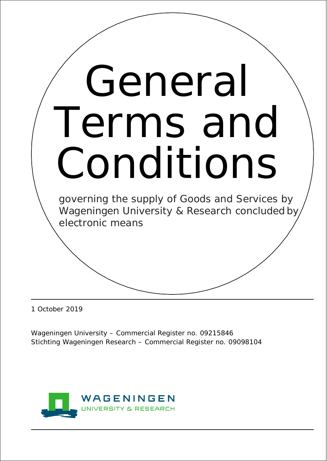

1 October 2019

Wageningen University – Commercial Register no. 09215846 Stichting Wageningen Research – Commercial Register no. 09098104

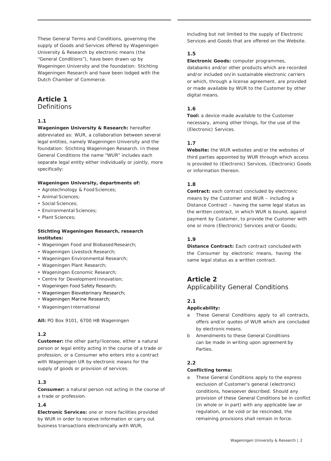These General Terms and Conditions, governing the supply of Goods and Services offered by Wageningen University & Research by electronic means (the "General Conditions"), have been drawn up by Wageningen University and the foundation: Stichting Wageningen Research and have been lodged with the Dutch Chamber of Commerce.

## **Article 1 Definitions**

### **1.1**

**Wageningen University & Research:** hereafter abbreviated as: WUR, a collaboration between several legal entities, namely Wageningen University and the foundation: Stichting Wageningen Research. In these General Conditions the name "WUR" includes each separate legal entity either individually or jointly, more specifically:

#### **Wageningen University, departments of:**

- Agrotechnology & Food Sciences;
- Animal Sciences;
- Social Sciences;
- Environmental Sciences;
- Plant Sciences;

### **Stichting Wageningen Research, research institutes:**

- Wageningen Food and Biobased Research;
- Wageningen Livestock Research;
- Wageningen Environmental Research;
- Wageningen Plant Research;
- Wageningen Economic Research;
- Centre for Development Innovation;
- Wageningen Food Safety Research;
- Wageningen Bioveterinary Research;
- Wageningen Marine Research;
- Wageningen International

**All:** PO Box 9101, 6700 HB Wageningen

### **1.2**

**Customer:** the other party/licensee, either a natural person or legal entity acting in the course of a trade or profession, or a Consumer who enters into a contract with Wageningen UR by electronic means for the supply of goods or provision of services.

### **1.3**

**Consumer:** a natural person not acting in the course of a trade or profession.

### **1.4**

**Electronic Services:** one or more facilities provided by WUR in order to receive information or carry out business transactions electronically with WUR,

including but not limited to the supply of Electronic Services and Goods that are offered on the Website.

## **1.5**

**Electronic Goods:** computer programmes,

databanks and/or other products which are recorded and/or included on/in sustainable electronic carriers or which, through a license agreement, are provided or made available by WUR to the Customer by other digital means.

## **1.6**

**Tool:** a device made available to the Customer necessary, among other things, for the use of the (Electronic) Services.

### **1.7**

**Website:** the WUR websites and/or the websites of third parties appointed by WUR through which access is provided to (Electronic) Services, (Electronic) Goods or information thereon.

### **1.8**

**Contract:** each contract concluded by electronic means by the Customer and WUR – including a Distance Contract – having the same legal status as the written contract, in which WUR is bound, against payment by Customer, to provide the Customer with one or more (Electronic) Services and/or Goods;

## **1.9**

**Distance Contract:** Each contract concluded with the Consumer by electronic means, having the same legal status as a written contract.

# **Article 2**

# Applicability General Conditions

### **2.1**

### **Applicability:**

- a These General Conditions apply to all contracts, offers and/or quotes of WUR which are concluded by electronic means.
- b Amendments to these General Conditions can be made in writing upon agreement by **Parties**

### **2.2**

### **Conflicting terms:**

a These General Conditions apply to the express exclusion of Customer's general (electronic) conditions, howsoever described. Should any provision of these General Conditions be in conflict (in whole or in part) with any applicable law or regulation, or be void or be rescinded, the remaining provisions shall remain in force.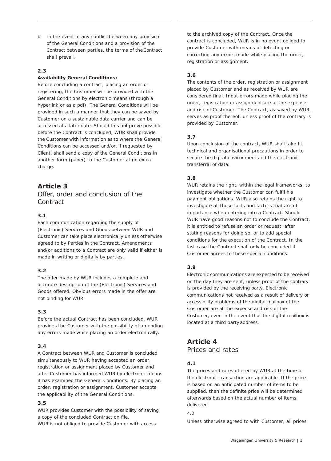b In the event of any conflict between any provision of the General Conditions and a provision of the Contract between parties, the terms of theContract shall prevail.

### **2.3**

#### **Availability General Conditions:**

Before concluding a contract, placing an order or registering, the Customer will be provided with the General Conditions by electronic means (through a hyperlink or as a pdf). The General Conditions will be provided in such a manner that they can be saved by Customer on a sustainable data carrier and can be accessed at a later date. Should this not prove possible before the Contract is concluded, WUR shall provide the Customer with information as to where the General Conditions can be accessed and/or, if requested by Client, shall send a copy of the General Conditions in another form (paper) to the Customer at no extra charge.

# **Article 3**

# Offer, order and conclusion of the **Contract**

### **3.1**

Each communication regarding the supply of (Electronic) Services and Goods between WUR and Customer can take place electronically unless otherwise agreed to by Parties in the Contract. Amendments and/or additions to a Contract are only valid if either is made in writing or digitally by parties.

### **3.2**

The offer made by WUR includes a complete and accurate description of the (Electronic) Services and Goods offered. Obvious errors made in the offer are not binding for WUR.

### **3.3**

Before the actual Contract has been concluded, WUR provides the Customer with the possibility of amending any errors made while placing an order electronically.

### **3.4**

A Contract between WUR and Customer is concluded simultaneously to WUR having accepted an order, registration or assignment placed by Customer and after Customer has informed WUR by electronic means it has examined the General Conditions. By placing an order, registration or assignment, Customer accepts the applicability of the General Conditions.

### **3.5**

WUR provides Customer with the possibility of saving a copy of the concluded Contract on file. WUR is not obliged to provide Customer with access

to the archived copy of the Contract. Once the contract is concluded, WUR is in no event obliged to provide Customer with means of detecting or correcting any errors made while placing the order, registration or assignment.

### **3.6**

The contents of the order, registration or assignment placed by Customer and as received by WUR are considered final. Input errors made while placing the order, registration or assignment are at the expense and risk of Customer. The Contract, as saved by WUR, serves as proof thereof, unless proof of the contrary is provided by Customer.

### **3.7**

Upon conclusion of the contract, WUR shall take fit technical and organisational precautions in order to secure the digital environment and the electronic transferral of data.

### **3.8**

WUR retains the right, within the legal frameworks, to investigate whether the Customer can fulfil his payment obligations. WUR also retains the right to investigate all those facts and factors that are of importance when entering into a Contract. Should WUR have good reasons not to conclude the Contract, it is entitled to refuse an order or request, after stating reasons for doing so, or to add special conditions for the execution of the Contract. In the last case the Contract shall only be concluded if Customer agrees to these special conditions.

### **3.9**

Electronic communications are expected to be received on the day they are sent, unless proof of the contrary is provided by the receiving party. Electronic communications not received as a result of delivery or accessibility problems of the digital mailbox of the Customer are at the expense and risk of the Customer, even in the event that the digital mailbox is located at a third party address.

# **Article 4**

Prices and rates

### **4.1**

The prices and rates offered by WUR at the time of the electronic transaction are applicable. If the price is based on an anticipated number of items to be supplied, then the definite price will be determined afterwards based on the actual number of items delivered.

4.2

Unless otherwise agreed to with Customer, all prices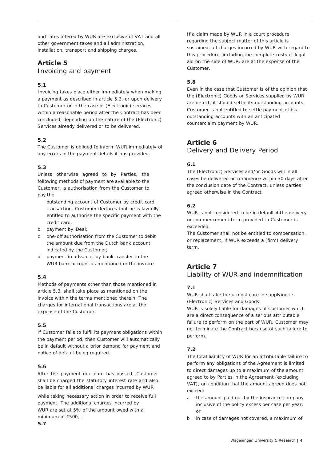and rates offered by WUR are exclusive of VAT and all other government taxes and all administration, installation, transport and shipping charges.

# **Article 5** Invoicing and payment

## **5.1**

Invoicing takes place either immediately when making a payment as described in article 5.3. or upon delivery to Customer or in the case of (Electronic) services, within a reasonable period after the Contract has been concluded, depending on the nature of the (Electronic) Services already delivered or to be delivered.

### **5.2**

The Customer is obliged to inform WUR immediately of any errors in the payment details it has provided.

### **5.3**

Unless otherwise agreed to by Parties, the following methods of payment are available to the Customer: a authorisation from the Customer to pay the

outstanding account of Customer by credit card transaction. Customer declares that he is lawfully entitled to authorise the specific payment with the credit card.

- b payment by iDeal;
- c one-off authorisation from the Customer to debit the amount due from the Dutch bank account indicated by the Customer;
- d payment in advance, by bank transfer to the WUR bank account as mentioned onthe invoice.

# **5.4**

Methods of payments other than those mentioned in article 5.3, shall take place as mentioned on the invoice within the terms mentioned therein. The charges for international transactions are at the expense of the Customer.

### **5.5**

If Customer fails to fulfil its payment obligations within the payment period, then Customer will automatically be in default without a prior demand for payment and notice of default being required.

### **5.6**

After the payment due date has passed, Customer shall be charged the statutory interest rate and also be liable for all additional charges incurred by WUR

while taking necessary action in order to receive full payment. The additional charges incurred by WUR are set at 5% of the amount owed with a minimum of €500,-.

If a claim made by WUR in a court procedure regarding the subject matter of this article is sustained, all charges incurred by WUR with regard to this procedure, including the complete costs of legal aid on the side of WUR, are at the expense of the Customer.

# **5.8**

Even in the case that Customer is of the opinion that the (Electronic) Goods or Services supplied by WUR are defect, it should settle its outstanding accounts. Customer is not entitled to settle payment of his outstanding accounts with an anticipated counterclaim payment by WUR.

# **Article 6**

Delivery and Delivery Period

## **6.1**

The (Electronic) Services and/or Goods will in all cases be delivered or commence within 30 days after the conclusion date of the Contract, unless parties agreed otherwise in the Contract.

# **6.2**

WUR is not considered to be in default if the delivery or commencement term provided to Customer is exceeded.

The Customer shall not be entitled to compensation, or replacement, if WUR exceeds a (firm) delivery term.

# **Article 7** Liability of WUR and indemnification

# **7.1**

WUR shall take the utmost care in supplying its (Electronic) Services and Goods.

WUR is solely liable for damages of Customer which are a direct consequence of a serious attributable failure to perform on the part of WUR. Customer may not terminate the Contract because of such failure to perform.

# **7.2**

The total liability of WUR for an attributable failure to perform any obligations of the Agreement is limited to direct damages up to a maximum of the amount agreed to by Parties in the Agreement (excluding VAT), on condition that the amount agreed does not exceed:

- a the amount paid out by the insurance company inclusive of the policy excess per case per year; or
- b in case of damages not covered, a maximum of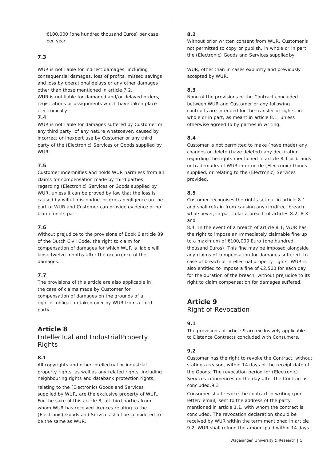€100,000 (one hundred thousand Euros) per case per year.

## **7.3**

WUR is not liable for indirect damages, including consequential damages, loss of profits, missed savings and loss by operational delays or any other damages other than those mentioned in article 7.2. WUR is not liable for damaged and/or delayed orders, registrations or assignments which have taken place electronically.

### **7.4**

WUR is not liable for damages suffered by Customer or any third party, of any nature whatsoever, caused by incorrect or inexpert use by Customer or any third party of the (Electronic) Services or Goods supplied by WUR.

## **7.5**

Customer indemnifies and holds WUR harmless from all claims for compensation made by third parties regarding (Electronic) Services or Goods supplied by WUR, unless it can be proved by law that the loss is caused by wilful misconduct or gross negligence on the part of WUR and Customer can provide evidence of no blame on its part.

## **7.6**

Without prejudice to the provisions of Book 6 article 89 of the Dutch Civil Code, the right to claim for compensation of damages for which WUR is liable will lapse twelve months after the occurrence of the damages.

### **7.7**

The provisions of this article are also applicable in the case of claims made by Customer for compensation of damages on the grounds of a right or obligation taken over by WUR from a third party.

# **Article 8**

# Intellectual and IndustrialProperty Rights

# **8.1**

All copyrights and other intellectual or industrial property rights, as well as any related rights, including neighbouring rights and databank protection rights,

relating to the (Electronic) Goods and Services supplied by WUR, are the exclusive property of WUR. For the sake of this article 8, all third parties from whom WUR has received licences relating to the (Electronic) Goods and Services shall be considered to be the same as WUR.

### **8.2**

Without prior written consent from WUR, Customer is not permitted to copy or publish, in whole or in part, the (Electronic) Goods and Services suppliedby

WUR, other than in cases explicitly and previously accepted by WUR.

## **8.3**

None of the provisions of the Contract concluded between WUR and Customer or any following contracts are intended for the transfer of rights, in whole or in part, as meant in article 8.1, unless otherwise agreed to by parties in writing.

## **8.4**

Customer is not permitted to make (have made) any changes or delete (have deleted) any declaration regarding the rights mentioned in article 8.1 or brands or trademarks of WUR in or on de (Electronic) Goods supplied, or relating to the (Electronic) Services provided.

## **8.5**

Customer recognises the rights set out in article 8.1 and shall refrain from causing any (in)direct breach whatsoever, in particular a breach of articles 8.2, 8.3 and

8.4. In the event of a breach of article 8.1, WUR has the right to impose an immediately claimable fine up to a maximum of €100,000 Euro (one hundred thousand Euros). This fine may be imposed alongside any claims of compensation for damages suffered. In case of breach of intellectual property rights, WUR is also entitled to impose a fine of €2.500 for each day for the duration of the breach, without prejudice to its right to claim compensation for damages suffered.

# **Article 9** Right of Revocation

# **9.1**

The provisions of article 9 are exclusively applicable to Distance Contracts concluded with Consumers.

# **9.2**

Customer has the right to revoke the Contract, without stating a reason, within 14 days of the receipt date of the Goods. The revocation period for (Electronic) Services commences on the day after the Contract is concluded.9.3

Consumer shall revoke the contract in writing (per letter/ email) sent to the address of the party mentioned in article 1.1. with whom the contract is concluded. The revocation declaration should be received by WUR within the term mentioned in article 9.2. WUR shall refund the amountpaid within 14 days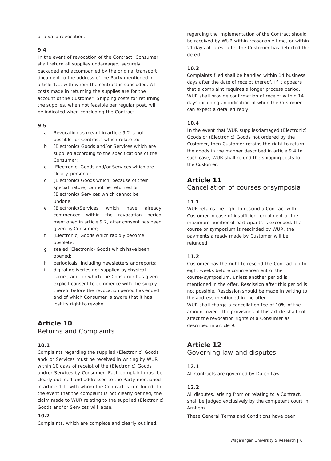of a valid revocation.

### **9.4**

In the event of revocation of the Contract, Consumer shall return all supplies undamaged, securely packaged and accompanied by the original transport document to the address of the Party mentioned in article 1.1. with whom the contract is concluded. All costs made in returning the supplies are for the account of the Customer. Shipping costs for returning the supplies, when not feasible per regular post, will be indicated when concluding the Contract.

### **9.5**

- a Revocation as meant in article 9.2 is not possible for Contracts which relate to:
- b (Electronic) Goods and/or Services which are supplied according to the specifications of the Consumer;
- c (Electronic) Goods and/or Services which are clearly personal;
- d (Electronic) Goods which, because of their special nature, cannot be returned or (Electronic) Services which cannot be undone;
- e (Electronic)Services which have already commenced within the revocation period mentioned in article 9.2, after consent has been given by Consumer;
- f (Electronic) Goods which rapidly become obsolete;
- g sealed (Electronic) Goods which have been opened;
- h periodicals, including newsletters andreports;
- i digital deliveries not supplied by physical carrier, and for which the Consumer has given explicit consent to commence with the supply thereof before the revocation period has ended and of which Consumer is aware that it has lost its right to revoke.

# **Article 10** Returns and Complaints

### **10.1**

Complaints regarding the supplied (Electronic) Goods and/ or Services must be received in writing by WUR within 10 days of receipt of the (Electronic) Goods and/or Services by Consumer. Each complaint must be clearly outlined and addressed to the Party mentioned in article 1.1. with whom the Contract is concluded. In the event that the complaint is not clearly defined, the claim made to WUR relating to the supplied (Electronic) Goods and/or Services will lapse.

### **10.2**

Complaints, which are complete and clearly outlined,

regarding the implementation of the Contract should be received by WUR within reasonable time, or within 21 days at latest after the Customer has detected the defect.

### **10.3**

Complaints filed shall be handled within 14 business days after the date of receipt thereof. If it appears that a complaint requires a longer process period, WUR shall provide confirmation of receipt within 14 days including an indication of when the Customer can expect a detailed reply.

### **10.4**

In the event that WUR suppliesdamaged (Electronic) Goods or (Electronic) Goods not ordered by the Customer, then Customer retains the right to return the goods in the manner described in article 9.4 In such case, WUR shall refund the shipping costs to the Customer.

# **Article 11**

Cancellation of courses or symposia

## **11.1**

WUR retains the right to rescind a Contract with Customer in case of insufficient enrolment or the maximum number of participants is exceeded. If a course or symposium is rescinded by WUR, the payments already made by Customer will be refunded.

### **11.2**

Customer has the right to rescind the Contract up to eight weeks before commencement of the course/symposium, unless another period is mentioned in the offer. Rescission after this period is not possible. Rescission should be made in writing to the address mentioned in the offer.

WUR shall charge a cancellation fee of 10% of the amount owed. The provisions of this article shall not affect the revocation rights of a Consumer as described in article 9.

# **Article 12**

Governing law and disputes

### **12.1**

All Contracts are governed by Dutch Law.

### **12.2**

All disputes, arising from or relating to a Contract, shall be judged exclusively by the competent court in Arnhem.

These General Terms and Conditions have been